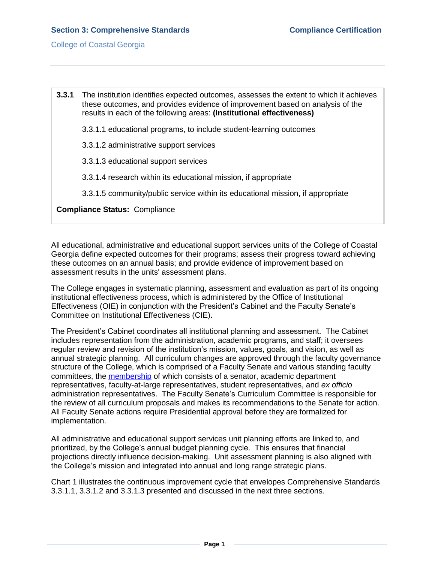**3.3.1** The institution identifies expected outcomes, assesses the extent to which it achieves these outcomes, and provides evidence of improvement based on analysis of the results in each of the following areas: **(Institutional effectiveness)** 3.3.1.1 educational programs, to include student-learning outcomes 3.3.1.2 administrative support services 3.3.1.3 educational support services 3.3.1.4 research within its educational mission, if appropriate 3.3.1.5 community/public service within its educational mission, if appropriate **Compliance Status:** Compliance

All educational, administrative and educational support services units of the College of Coastal Georgia define expected outcomes for their programs; assess their progress toward achieving these outcomes on an annual basis; and provide evidence of improvement based on assessment results in the units' assessment plans.

The College engages in systematic planning, assessment and evaluation as part of its ongoing institutional effectiveness process, which is administered by the Office of Institutional Effectiveness (OIE) in conjunction with the President's Cabinet and the Faculty Senate's Committee on Institutional Effectiveness (CIE).

The President's Cabinet coordinates all institutional planning and assessment. The Cabinet includes representation from the administration, academic programs, and staff; it oversees regular review and revision of the institution's mission, values, goals, and vision, as well as annual strategic planning. All curriculum changes are approved through the faculty governance structure of the College, which is comprised of a Faculty Senate and various standing faculty committees, the [membership](3.4.10.bFacultySenateCommittees.pdf#page=1) of which consists of a senator, academic department representatives, faculty-at-large representatives, student representatives, and *ex officio* administration representatives. The Faculty Senate's Curriculum Committee is responsible for the review of all curriculum proposals and makes its recommendations to the Senate for action. All Faculty Senate actions require Presidential approval before they are formalized for implementation.

All administrative and educational support services unit planning efforts are linked to, and prioritized, by the College's annual budget planning cycle. This ensures that financial projections directly influence decision-making. Unit assessment planning is also aligned with the College's mission and integrated into annual and long range strategic plans.

Chart 1 illustrates the continuous improvement cycle that envelopes Comprehensive Standards 3.3.1.1, 3.3.1.2 and 3.3.1.3 presented and discussed in the next three sections.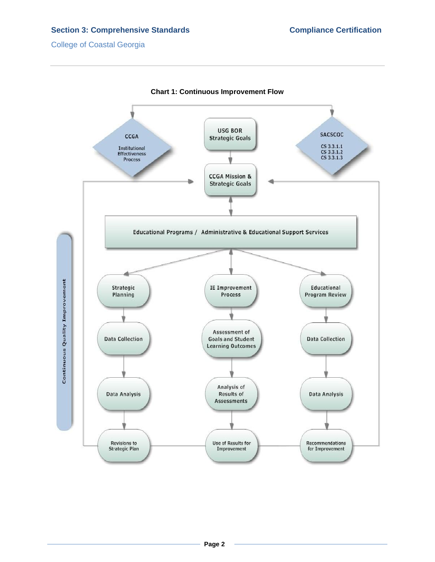# **Section 3: Comprehensive Standards Compliance Certification Compliance Certification**

College of Coastal Georgia



**Page 2**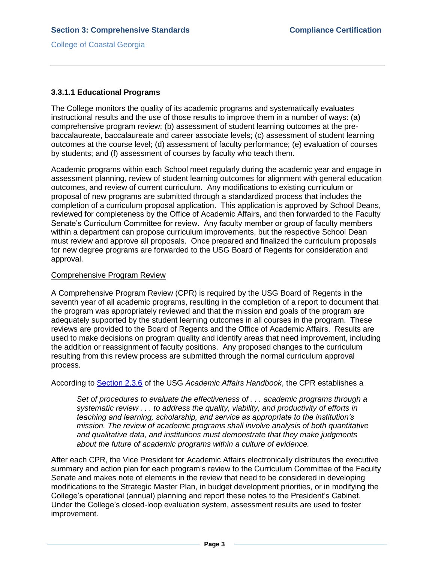## **3.3.1.1 Educational Programs**

The College monitors the quality of its academic programs and systematically evaluates instructional results and the use of those results to improve them in a number of ways: (a) comprehensive program review; (b) assessment of student learning outcomes at the prebaccalaureate, baccalaureate and career associate levels; (c) assessment of student learning outcomes at the course level; (d) assessment of faculty performance; (e) evaluation of courses by students; and (f) assessment of courses by faculty who teach them.

Academic programs within each School meet regularly during the academic year and engage in assessment planning, review of student learning outcomes for alignment with general education outcomes, and review of current curriculum. Any modifications to existing curriculum or proposal of new programs are submitted through a standardized process that includes the completion of a curriculum proposal application. This application is approved by School Deans, reviewed for completeness by the Office of Academic Affairs, and then forwarded to the Faculty Senate's Curriculum Committee for review. Any faculty member or group of faculty members within a department can propose curriculum improvements, but the respective School Dean must review and approve all proposals. Once prepared and finalized the curriculum proposals for new degree programs are forwarded to the USG Board of Regents for consideration and approval.

## Comprehensive Program Review

A Comprehensive Program Review (CPR) is required by the USG Board of Regents in the seventh year of all academic programs, resulting in the completion of a report to document that the program was appropriately reviewed and that the mission and goals of the program are adequately supported by the student learning outcomes in all courses in the program. These reviews are provided to the Board of Regents and the Office of Academic Affairs. Results are used to make decisions on program quality and identify areas that need improvement, including the addition or reassignment of faculty positions. Any proposed changes to the curriculum resulting from this review process are submitted through the normal curriculum approval process.

According to [Section 2.3.6](3.3.1.bUSGAAhandbook2.3.6.pdf#page=1) of the USG *Academic Affairs Handbook*, the CPR establishes a

*Set of procedures to evaluate the effectiveness of . . . academic programs through a systematic review . . . to address the quality, viability, and productivity of efforts in teaching and learning, scholarship, and service as appropriate to the institution's mission. The review of academic programs shall involve analysis of both quantitative and qualitative data, and institutions must demonstrate that they make judgments about the future of academic programs within a culture of evidence.*

After each CPR, the Vice President for Academic Affairs electronically distributes the executive summary and action plan for each program's review to the Curriculum Committee of the Faculty Senate and makes note of elements in the review that need to be considered in developing modifications to the Strategic Master Plan, in budget development priorities, or in modifying the College's operational (annual) planning and report these notes to the President's Cabinet. Under the College's closed-loop evaluation system, assessment results are used to foster improvement.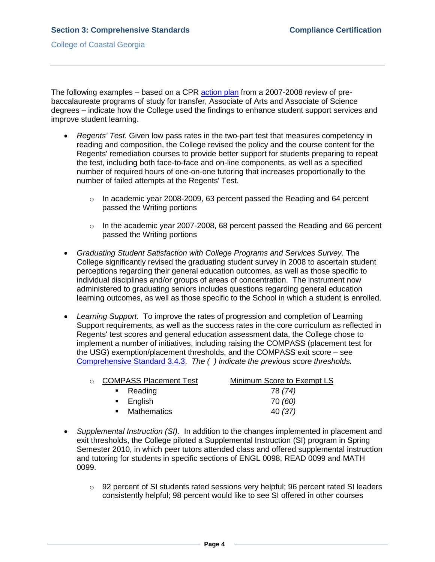The following examples – based on a CPR [action plan](3.3.1.cCPR0708Part2.pdf#page=1) from a 2007-2008 review of prebaccalaureate programs of study for transfer, Associate of Arts and Associate of Science degrees – indicate how the College used the findings to enhance student support services and improve student learning.

- *Regents' Test.* Given low pass rates in the two-part test that measures competency in reading and composition, the College revised the policy and the course content for the Regents' remediation courses to provide better support for students preparing to repeat the test, including both face-to-face and on-line components, as well as a specified number of required hours of one-on-one tutoring that increases proportionally to the number of failed attempts at the Regents' Test.
	- $\circ$  In academic year 2008-2009, 63 percent passed the Reading and 64 percent passed the Writing portions
	- $\circ$  In the academic year 2007-2008, 68 percent passed the Reading and 66 percent passed the Writing portions
- *Graduating Student Satisfaction with College Programs and Services Survey.* The College significantly revised the graduating student survey in 2008 to ascertain student perceptions regarding their general education outcomes, as well as those specific to individual disciplines and/or groups of areas of concentration. The instrument now administered to graduating seniors includes questions regarding general education learning outcomes, as well as those specific to the School in which a student is enrolled.
- *Learning Support.*To improve the rates of progression and completion of Learning Support requirements, as well as the success rates in the core curriculum as reflected in Regents' test scores and general education assessment data, the College chose to implement a number of initiatives, including raising the COMPASS (placement test for the USG) exemption/placement thresholds, and the COMPASS exit score – see [Comprehensive Standard 3.4.3.](3.4.3.pdf#page=1) *The ( ) indicate the previous score thresholds.*

| ○ COMPASS Placement Test | Minimum Score to Exempt LS |
|--------------------------|----------------------------|
| $\blacksquare$ Reading   | 78 (74)                    |
| $\blacksquare$ English   | 70 (60)                    |
| • Mathematics            | 40 (37)                    |

- *Supplemental Instruction (SI).* In addition to the changes implemented in placement and exit thresholds, the College piloted a Supplemental Instruction (SI) program in Spring Semester 2010, in which peer tutors attended class and offered supplemental instruction and tutoring for students in specific sections of ENGL 0098, READ 0099 and MATH 0099.
	- $\circ$  92 percent of SI students rated sessions very helpful; 96 percent rated SI leaders consistently helpful; 98 percent would like to see SI offered in other courses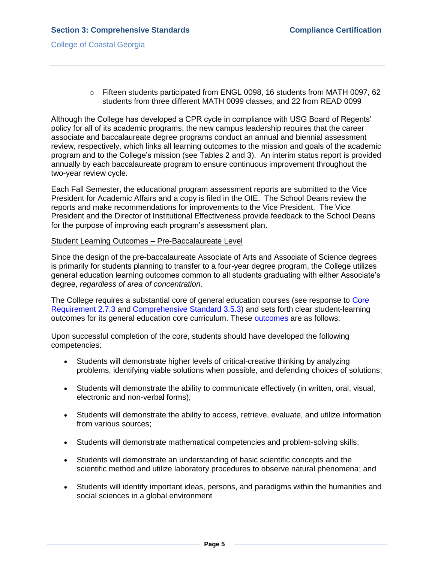$\circ$  Fifteen students participated from ENGL 0098, 16 students from MATH 0097, 62 students from three different MATH 0099 classes, and 22 from READ 0099

Although the College has developed a CPR cycle in compliance with USG Board of Regents' policy for all of its academic programs, the new campus leadership requires that the career associate and baccalaureate degree programs conduct an annual and biennial assessment review*,* respectively, which links all learning outcomes to the mission and goals of the academic program and to the College's mission (see Tables 2 and 3). An interim status report is provided annually by each baccalaureate program to ensure continuous improvement throughout the two-year review cycle.

Each Fall Semester, the educational program assessment reports are submitted to the Vice President for Academic Affairs and a copy is filed in the OIE. The School Deans review the reports and make recommendations for improvements to the Vice President. The Vice President and the Director of Institutional Effectiveness provide feedback to the School Deans for the purpose of improving each program's assessment plan.

#### Student Learning Outcomes – Pre-Baccalaureate Level

Since the design of the pre-baccalaureate Associate of Arts and Associate of Science degrees is primarily for students planning to transfer to a four-year degree program, the College utilizes general education learning outcomes common to all students graduating with either Associate's degree, *regardless of area of concentration*.

The College requires a substantial core of general education courses (see response to Core [Requirement 2.7.3](2.7.3.pdf#page=1) and [Comprehensive Standard 3.5.3\)](3.5.3.pdf#page=1) and sets forth clear student-learning outcomes for its general education core curriculum. These [outcomes](3.3.1.dGenEdOutcomes.pdf#page=1) are as follows:

Upon successful completion of the core, students should have developed the following competencies:

- Students will demonstrate higher levels of critical-creative thinking by analyzing problems, identifying viable solutions when possible, and defending choices of solutions;
- Students will demonstrate the ability to communicate effectively (in written, oral, visual, electronic and non-verbal forms);
- Students will demonstrate the ability to access, retrieve, evaluate, and utilize information from various sources;
- Students will demonstrate mathematical competencies and problem-solving skills;
- Students will demonstrate an understanding of basic scientific concepts and the scientific method and utilize laboratory procedures to observe natural phenomena; and
- Students will identify important ideas, persons, and paradigms within the humanities and social sciences in a global environment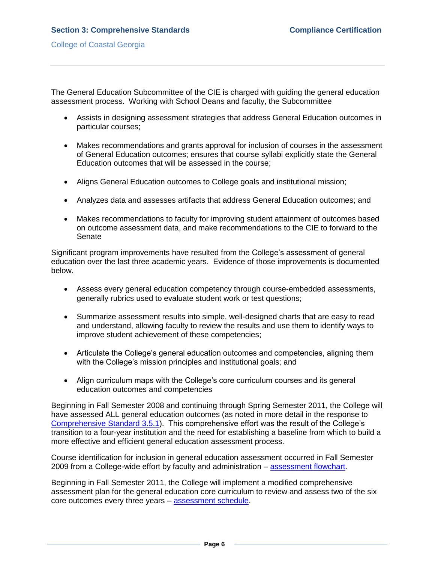The General Education Subcommittee of the CIE is charged with guiding the general education assessment process. Working with School Deans and faculty, the Subcommittee

- Assists in designing assessment strategies that address General Education outcomes in particular courses;
- Makes recommendations and grants approval for inclusion of courses in the assessment of General Education outcomes; ensures that course syllabi explicitly state the General Education outcomes that will be assessed in the course;
- Aligns General Education outcomes to College goals and institutional mission;
- Analyzes data and assesses artifacts that address General Education outcomes; and
- Makes recommendations to faculty for improving student attainment of outcomes based on outcome assessment data, and make recommendations to the CIE to forward to the Senate

Significant program improvements have resulted from the College's assessment of general education over the last three academic years. Evidence of those improvements is documented below.

- Assess every general education competency through course-embedded assessments, generally rubrics used to evaluate student work or test questions;
- Summarize assessment results into simple, well-designed charts that are easy to read and understand, allowing faculty to review the results and use them to identify ways to improve student achievement of these competencies;
- Articulate the College's general education outcomes and competencies, aligning them with the College's mission principles and institutional goals; and
- Align curriculum maps with the College's core curriculum courses and its general education outcomes and competencies

Beginning in Fall Semester 2008 and continuing through Spring Semester 2011, the College will have assessed ALL general education outcomes (as noted in more detail in the response to [Comprehensive](3.5.1.pdf#page=1) Standard 3.5.1). This comprehensive effort was the result of the College's transition to a four-year institution and the need for establishing a baseline from which to build a more effective and efficient general education assessment process.

Course identification for inclusion in general education assessment occurred in Fall Semester 2009 from a College-wide effort by faculty and administration – [assessment flowchart.](3.3.1.fGEflowchart.pdf#page=1)

Beginning in Fall Semester 2011, the College will implement a modified comprehensive assessment plan for the general education core curriculum to review and assess two of the six core outcomes every three years – [assessment schedule.](3.3.1.gGEschedule.pdf#page=1)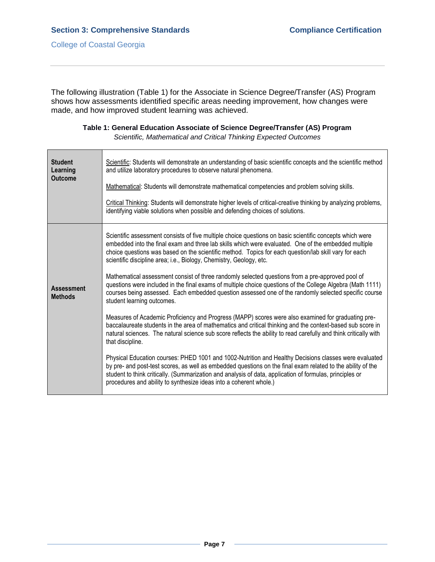The following illustration (Table 1) for the Associate in Science Degree/Transfer (AS) Program shows how assessments identified specific areas needing improvement, how changes were made, and how improved student learning was achieved.

| <b>Student</b><br>Learning<br><b>Outcome</b> | Scientific: Students will demonstrate an understanding of basic scientific concepts and the scientific method<br>and utilize laboratory procedures to observe natural phenomena.                                                                                                                                                                                                                       |
|----------------------------------------------|--------------------------------------------------------------------------------------------------------------------------------------------------------------------------------------------------------------------------------------------------------------------------------------------------------------------------------------------------------------------------------------------------------|
|                                              | Mathematical: Students will demonstrate mathematical competencies and problem solving skills.                                                                                                                                                                                                                                                                                                          |
|                                              | Critical Thinking: Students will demonstrate higher levels of critical-creative thinking by analyzing problems,<br>identifying viable solutions when possible and defending choices of solutions.                                                                                                                                                                                                      |
|                                              | Scientific assessment consists of five multiple choice questions on basic scientific concepts which were<br>embedded into the final exam and three lab skills which were evaluated. One of the embedded multiple<br>choice questions was based on the scientific method. Topics for each question/lab skill vary for each<br>scientific discipline area; i.e., Biology, Chemistry, Geology, etc.       |
| <b>Assessment</b><br><b>Methods</b>          | Mathematical assessment consist of three randomly selected questions from a pre-approved pool of<br>questions were included in the final exams of multiple choice questions of the College Algebra (Math 1111)<br>courses being assessed. Each embedded question assessed one of the randomly selected specific course<br>student learning outcomes.                                                   |
|                                              | Measures of Academic Proficiency and Progress (MAPP) scores were also examined for graduating pre-<br>baccalaureate students in the area of mathematics and critical thinking and the context-based sub score in<br>natural sciences. The natural science sub score reflects the ability to read carefully and think critically with<br>that discipline.                                               |
|                                              | Physical Education courses: PHED 1001 and 1002-Nutrition and Healthy Decisions classes were evaluated<br>by pre- and post-test scores, as well as embedded questions on the final exam related to the ability of the<br>student to think critically. (Summarization and analysis of data, application of formulas, principles or<br>procedures and ability to synthesize ideas into a coherent whole.) |

**Table 1: General Education Associate of Science Degree/Transfer (AS) Program**

*Scientific, Mathematical and Critical Thinking Expected Outcomes*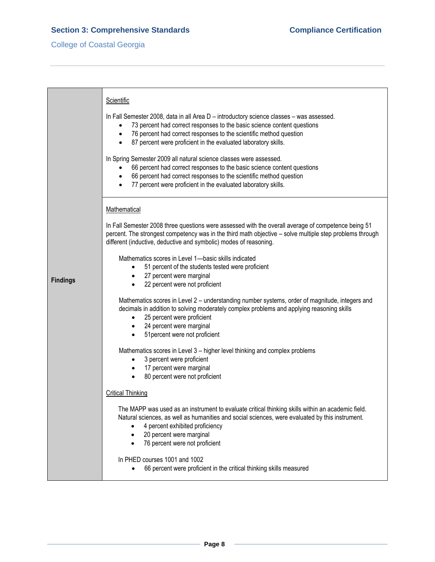# **Section 3: Comprehensive Standards Compliance Certification Compliance Certification**

# College of Coastal Georgia

|                 | Scientific<br>In Fall Semester 2008, data in all Area D - introductory science classes - was assessed.<br>73 percent had correct responses to the basic science content questions<br>76 percent had correct responses to the scientific method question<br>$\bullet$<br>87 percent were proficient in the evaluated laboratory skills.<br>$\bullet$ |
|-----------------|-----------------------------------------------------------------------------------------------------------------------------------------------------------------------------------------------------------------------------------------------------------------------------------------------------------------------------------------------------|
|                 | In Spring Semester 2009 all natural science classes were assessed.<br>66 percent had correct responses to the basic science content questions<br>66 percent had correct responses to the scientific method question<br>77 percent were proficient in the evaluated laboratory skills.                                                               |
|                 | Mathematical                                                                                                                                                                                                                                                                                                                                        |
|                 | In Fall Semester 2008 three questions were assessed with the overall average of competence being 51<br>percent. The strongest competency was in the third math objective - solve multiple step problems through<br>different (inductive, deductive and symbolic) modes of reasoning.                                                                |
|                 | Mathematics scores in Level 1—basic skills indicated<br>51 percent of the students tested were proficient<br>$\bullet$                                                                                                                                                                                                                              |
| <b>Findings</b> | 27 percent were marginal                                                                                                                                                                                                                                                                                                                            |
|                 | 22 percent were not proficient                                                                                                                                                                                                                                                                                                                      |
|                 | Mathematics scores in Level 2 - understanding number systems, order of magnitude, integers and<br>decimals in addition to solving moderately complex problems and applying reasoning skills<br>25 percent were proficient<br>$\bullet$                                                                                                              |
|                 | 24 percent were marginal<br>$\bullet$<br>51 percent were not proficient<br>$\bullet$                                                                                                                                                                                                                                                                |
|                 | Mathematics scores in Level 3 - higher level thinking and complex problems<br>3 percent were proficient<br>$\bullet$<br>17 percent were marginal<br>$\bullet$                                                                                                                                                                                       |
|                 | 80 percent were not proficient<br>$\bullet$                                                                                                                                                                                                                                                                                                         |
|                 | <b>Critical Thinking</b>                                                                                                                                                                                                                                                                                                                            |
|                 | The MAPP was used as an instrument to evaluate critical thinking skills within an academic field.<br>Natural sciences, as well as humanities and social sciences, were evaluated by this instrument.<br>4 percent exhibited proficiency<br>20 percent were marginal<br>76 percent were not proficient                                               |
|                 | In PHED courses 1001 and 1002<br>66 percent were proficient in the critical thinking skills measured                                                                                                                                                                                                                                                |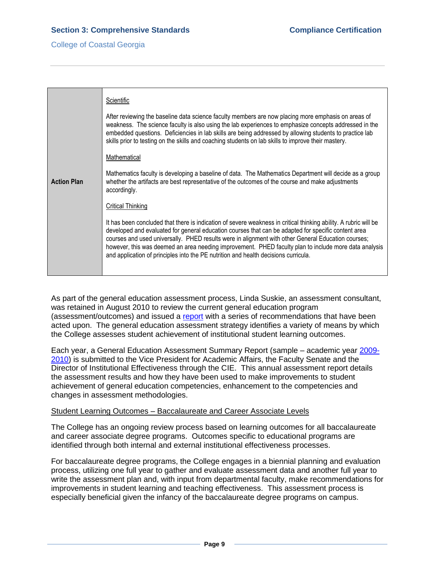|                    | Scientific                                                                                                                                                                                                                                                                                                                                                                                                                                                                                                                    |
|--------------------|-------------------------------------------------------------------------------------------------------------------------------------------------------------------------------------------------------------------------------------------------------------------------------------------------------------------------------------------------------------------------------------------------------------------------------------------------------------------------------------------------------------------------------|
|                    | After reviewing the baseline data science faculty members are now placing more emphasis on areas of<br>weakness. The science faculty is also using the lab experiences to emphasize concepts addressed in the<br>embedded questions. Deficiencies in lab skills are being addressed by allowing students to practice lab<br>skills prior to testing on the skills and coaching students on lab skills to improve their mastery.                                                                                               |
|                    | Mathematical                                                                                                                                                                                                                                                                                                                                                                                                                                                                                                                  |
| <b>Action Plan</b> | Mathematics faculty is developing a baseline of data. The Mathematics Department will decide as a group<br>whether the artifacts are best representative of the outcomes of the course and make adjustments<br>accordingly.                                                                                                                                                                                                                                                                                                   |
|                    | Critical Thinking                                                                                                                                                                                                                                                                                                                                                                                                                                                                                                             |
|                    | It has been concluded that there is indication of severe weakness in critical thinking ability. A rubric will be<br>developed and evaluated for general education courses that can be adapted for specific content area<br>courses and used universally. PHED results were in alignment with other General Education courses;<br>however, this was deemed an area needing improvement. PHED faculty plan to include more data analysis<br>and application of principles into the PE nutrition and health decisions curricula. |
|                    |                                                                                                                                                                                                                                                                                                                                                                                                                                                                                                                               |

As part of the general education assessment process, Linda Suskie, an assessment consultant, was retained in August 2010 to review the current general education program (assessment/outcomes) and issued a [report](3.3.1.eSuskieReport.pdf#page=1) with a series of recommendations that have been acted upon. The general education assessment strategy identifies a variety of means by which the College assesses student achievement of institutional student learning outcomes.

Each year, a General Education Assessment Summary Report (sample – academic year [2009-](3.3.1.hGEAssessmentSummaryReport.pdf#page=1) [2010\)](3.3.1.hGEAssessmentSummaryReport.pdf#page=1) is submitted to the Vice President for Academic Affairs, the Faculty Senate and the Director of Institutional Effectiveness through the CIE. This annual assessment report details the assessment results and how they have been used to make improvements to student achievement of general education competencies, enhancement to the competencies and changes in assessment methodologies.

# Student Learning Outcomes – Baccalaureate and Career Associate Levels

The College has an ongoing review process based on learning outcomes for all baccalaureate and career associate degree programs. Outcomes specific to educational programs are identified through both internal and external institutional effectiveness processes.

For baccalaureate degree programs, the College engages in a biennial planning and evaluation process, utilizing one full year to gather and evaluate assessment data and another full year to write the assessment plan and, with input from departmental faculty, make recommendations for improvements in student learning and teaching effectiveness. This assessment process is especially beneficial given the infancy of the baccalaureate degree programs on campus.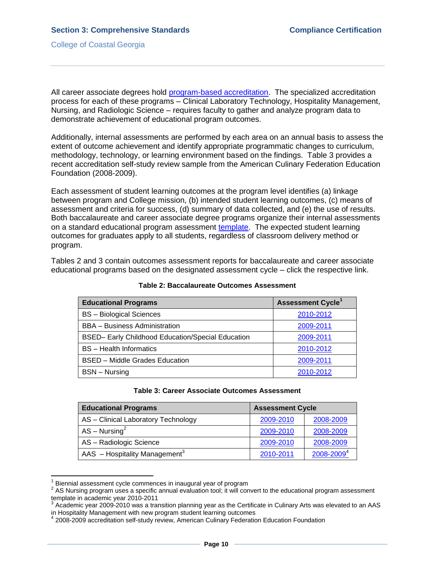All career associate degrees hold [program-based accreditation.](ProgramSpecialAccreditation.pdf#page=1) The specialized accreditation process for each of these programs – Clinical Laboratory Technology, Hospitality Management, Nursing, and Radiologic Science – requires faculty to gather and analyze program data to demonstrate achievement of educational program outcomes.

Additionally, internal assessments are performed by each area on an annual basis to assess the extent of outcome achievement and identify appropriate programmatic changes to curriculum, methodology, technology, or learning environment based on the findings. Table 3 provides a recent accreditation self-study review sample from the American Culinary Federation Education Foundation (2008-2009).

Each assessment of student learning outcomes at the program level identifies (a) linkage between program and College mission, (b) intended student learning outcomes, (c) means of assessment and criteria for success, (d) summary of data collected, and (e) the use of results. Both baccalaureate and career associate degree programs organize their internal assessments on a standard [educational program assessment template.](3.3.1.jUnitAssessmentPlanTemplate.pdf#page=1) The expected student learning outcomes for graduates apply to all students, regardless of classroom delivery method or program.

Tables 2 and 3 contain outcomes assessment reports for baccalaureate and career associate educational programs based on the designated assessment cycle – click the respective link.

| <b>Educational Programs</b>                       | <b>Assessment Cycle<sup>1</sup></b> |
|---------------------------------------------------|-------------------------------------|
| <b>BS</b> - Biological Sciences                   | 2010-2012                           |
| <b>BBA</b> – Business Administration              | 2009-2011                           |
| BSED- Early Childhood Education/Special Education | 2009-2011                           |
| <b>BS</b> - Health Informatics                    | 2010-2012                           |
| <b>BSED</b> – Middle Grades Education             | 2009-2011                           |
| <b>BSN</b> – Nursing                              | 2010-2012                           |

#### **Table 2: Baccalaureate Outcomes Assessment**

#### **Table 3: Career Associate Outcomes Assessment**

| <b>Educational Programs</b>               | <b>Assessment Cycle</b> |            |  |
|-------------------------------------------|-------------------------|------------|--|
| AS - Clinical Laboratory Technology       | 2009-2010               | 2008-2009  |  |
| $AS - Nursing2$                           | 2009-2010               | 2008-2009  |  |
| AS - Radiologic Science                   | 2009-2010               | 2008-2009  |  |
| AAS - Hospitality Management <sup>3</sup> | 2010-2011               | 2008-20094 |  |

<sup>1</sup> Biennial assessment cycle commences in inaugural year of program

 $\overline{\phantom{a}}$ 

 $2$  AS Nursing program uses a specific annual evaluation tool; it will convert to the educational program assessment template in academic year 2010-2011

<sup>3</sup> Academic year 2009-2010 was a transition planning year as the Certificate in Culinary Arts was elevated to an AAS in Hospitality Management with new program student learning outcomes<br><sup>4</sup> 2008,2000 accreditation aclf at unk raviaure American Culinary Eaderstic

<sup>2008-2009</sup> accreditation self-study review, American Culinary Federation Education Foundation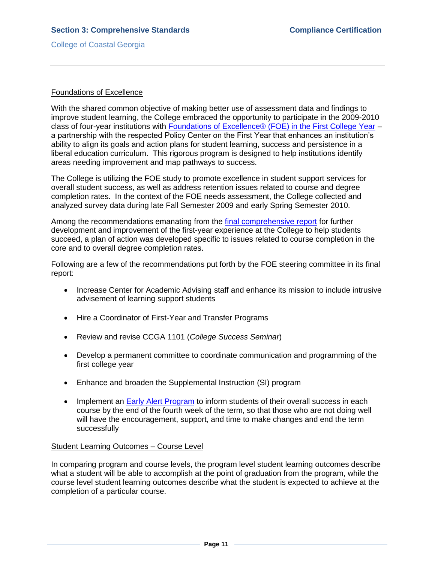#### Foundations of Excellence

With the shared common objective of making better use of assessment data and findings to improve student learning, the College embraced the opportunity to participate in the 2009-2010 class of four-year institutions with [Foundations of Excellence® \(FOE\) in the First College Year](3.3.1.kFOEwebsite.htm#page=1) – a partnership with the respected Policy Center on the First Year that enhances an institution's ability to align its goals and action plans for student learning, success and persistence in a liberal education curriculum. This rigorous program is designed to help institutions identify areas needing improvement and map pathways to success.

The College is utilizing the FOE study to promote excellence in student support services for overall student success, as well as address retention issues related to course and degree completion rates. In the context of the FOE needs assessment, the College collected and analyzed survey data during late Fall Semester 2009 and early Spring Semester 2010.

Among the recommendations emanating from the *final comprehensive report* for further development and improvement of the first-year experience at the College to help students succeed, a plan of action was developed specific to issues related to course completion in the core and to overall degree completion rates.

Following are a few of the recommendations put forth by the FOE steering committee in its final report:

- Increase Center for Academic Advising staff and enhance its mission to include intrusive advisement of learning support students
- Hire a Coordinator of First-Year and Transfer Programs
- Review and revise CCGA 1101 (*College Success Seminar*)
- Develop a permanent committee to coordinate communication and programming of the first college year
- Enhance and broaden the Supplemental Instruction (SI) program
- Implement an **Early Alert Program** to inform students of their overall success in each course by the end of the fourth week of the term, so that those who are not doing well will have the encouragement, support, and time to make changes and end the term successfully

#### Student Learning Outcomes – Course Level

In comparing program and course levels, the program level student learning outcomes describe what a student will be able to accomplish at the point of graduation from the program, while the course level student learning outcomes describe what the student is expected to achieve at the completion of a particular course.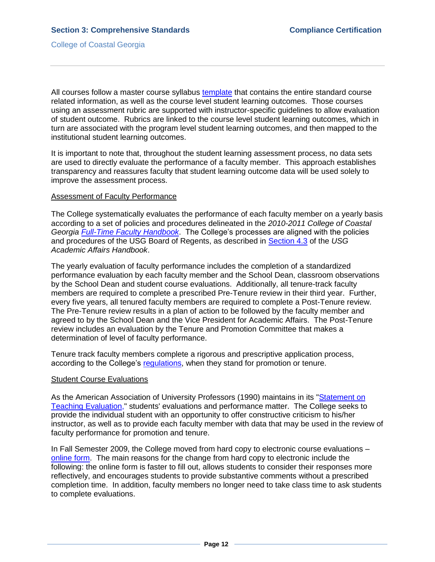All courses follow a master course [syllabus template](3.3.1.nMasterCourseSyllabusTemplate.pdf#page=1) that contains the entire standard course related information, as well as the course level student learning outcomes. Those courses using an assessment rubric are supported with instructor-specific guidelines to allow evaluation of student outcome. Rubrics are linked to the course level student learning outcomes, which in turn are associated with the program level student learning outcomes, and then mapped to the institutional student learning outcomes.

It is important to note that, throughout the student learning assessment process, no data sets are used to directly evaluate the performance of a faculty member. This approach establishes transparency and reassures faculty that student learning outcome data will be used solely to improve the assessment process.

### Assessment of Faculty Performance

The College systematically evaluates the performance of each faculty member on a yearly basis according to a set of policies and procedures delineated in the *2010-2011 College of Coastal Georgia [Full-Time Faculty Handbook](FTfacultyhandbook.pdf#page=17)*. The College's processes are aligned with the policies and procedures of the USG Board of Regents, as described in [Section 4.3](3.3.1.pUSGAAhandbook4.3.pdf#page=1) of the *USG Academic Affairs Handbook*.

The yearly evaluation of faculty performance includes the completion of a standardized performance evaluation by each faculty member and the School Dean, classroom observations by the School Dean and student course evaluations. Additionally, all tenure-track faculty members are required to complete a prescribed Pre-Tenure review in their third year. Further, every five years, all tenured faculty members are required to complete a Post-Tenure review. The Pre-Tenure review results in a plan of action to be followed by the faculty member and agreed to by the School Dean and the Vice President for Academic Affairs. The Post-Tenure review includes an evaluation by the Tenure and Promotion Committee that makes a determination of level of faculty performance.

Tenure track faculty members complete a rigorous and prescriptive application process, according to the College's [regulations,](FTfacultyhandbook.pdf#page=20) when they stand for promotion or tenure.

#### Student Course Evaluations

As the American Association of University Professors (1990) maintains in its ["Statement on](3.3.1.qStatementTeachingEvaluation.pdf#page=1)  [Teaching Evaluation,"](3.3.1.qStatementTeachingEvaluation.pdf#page=1) students' evaluations and performance matter. The College seeks to provide the individual student with an opportunity to offer constructive criticism to his/her instructor, as well as to provide each faculty member with data that may be used in the review of faculty performance for promotion and tenure.

In Fall Semester 2009, the College moved from hard copy to electronic course evaluations – [online form.](3.7.2.aStudentEvalScreenShot.pdf#page=1) The main reasons for the change from hard copy to electronic include the following: the online form is faster to fill out, allows students to consider their responses more reflectively, and encourages students to provide substantive comments without a prescribed completion time. In addition, faculty members no longer need to take class time to ask students to complete evaluations.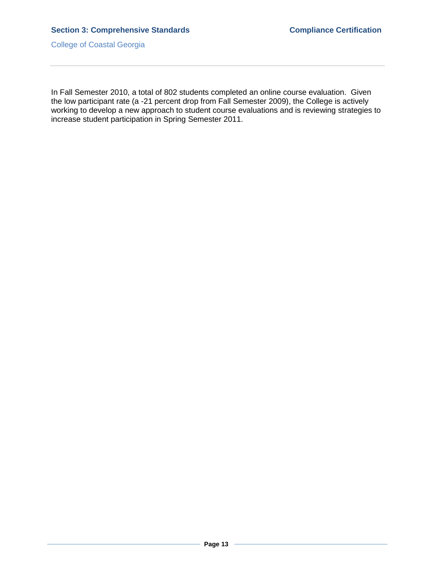In Fall Semester 2010, a total of 802 students completed an online course evaluation. Given the low participant rate (a -21 percent drop from Fall Semester 2009), the College is actively working to develop a new approach to student course evaluations and is reviewing strategies to increase student participation in Spring Semester 2011.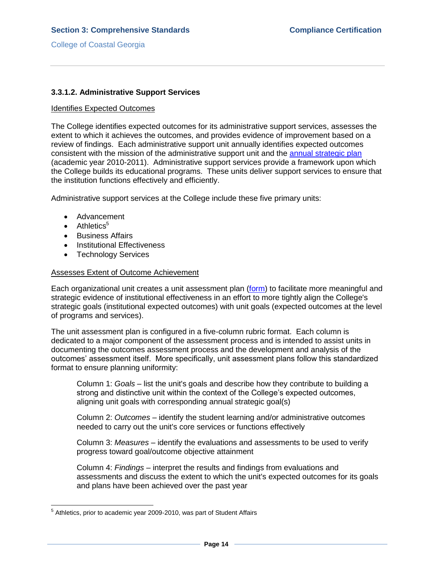## **3.3.1.2. Administrative Support Services**

#### Identifies Expected Outcomes

The College identifies expected outcomes for its administrative support services, assesses the extent to which it achieves the outcomes, and provides evidence of improvement based on a review of findings. Each administrative support unit annually identifies expected outcomes consistent with the mission of the administrative support unit and the [annual strategic plan](3.11.2.bCCGA10-11AnnualStrategicPlan.pdf#page=1) (academic year 2010-2011). Administrative support services provide a framework upon which the College builds its educational programs. These units deliver support services to ensure that the institution functions effectively and efficiently.

Administrative support services at the College include these five primary units:

- Advancement
- $\bullet$  Athletics<sup>5</sup>
- **•** Business Affairs
- Institutional Effectiveness
- Technology Services

#### Assesses Extent of Outcome Achievement

Each organizational unit creates a unit assessment plan [\(form\)](3.3.1.wUnitAssessmentPlanForm.pdf#page=1) to facilitate more meaningful and strategic evidence of institutional effectiveness in an effort to more tightly align the College's strategic goals (institutional expected outcomes) with unit goals (expected outcomes at the level of programs and services).

The unit assessment plan is configured in a five-column rubric format. Each column is dedicated to a major component of the assessment process and is intended to assist units in documenting the outcomes assessment process and the development and analysis of the outcomes' assessment itself. More specifically, unit assessment plans follow this standardized format to ensure planning uniformity:

Column 1: *Goals* – list the unit's goals and describe how they contribute to building a strong and distinctive unit within the context of the College's expected outcomes, aligning unit goals with corresponding annual strategic goal(s)

Column 2: *Outcomes* – identify the student learning and/or administrative outcomes needed to carry out the unit's core services or functions effectively

Column 3: *Measures* – identify the evaluations and assessments to be used to verify progress toward goal/outcome objective attainment

Column 4: *Findings* – interpret the results and findings from evaluations and assessments and discuss the extent to which the unit's expected outcomes for its goals and plans have been achieved over the past year

 5 Athletics, prior to academic year 2009-2010, was part of Student Affairs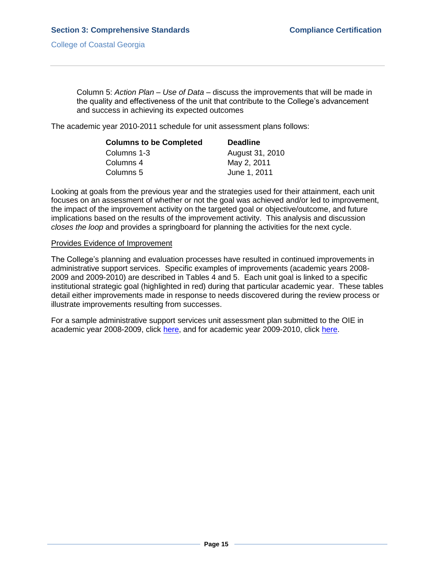Column 5: *Action Plan – Use of Data* – discuss the improvements that will be made in the quality and effectiveness of the unit that contribute to the College's advancement and success in achieving its expected outcomes

The academic year 2010-2011 schedule for unit assessment plans follows:

| <b>Columns to be Completed</b> | <b>Deadline</b> |
|--------------------------------|-----------------|
| Columns 1-3                    | August 31, 2010 |
| Columns 4                      | May 2, 2011     |
| Columns 5                      | June 1, 2011    |

Looking at goals from the previous year and the strategies used for their attainment, each unit focuses on an assessment of whether or not the goal was achieved and/or led to improvement, the impact of the improvement activity on the targeted goal or objective/outcome, and future implications based on the results of the improvement activity. This analysis and discussion *closes the loop* and provides a springboard for planning the activities for the next cycle.

#### Provides Evidence of Improvement

The College's planning and evaluation processes have resulted in continued improvements in administrative support services. Specific examples of improvements (academic years 2008- 2009 and 2009-2010) are described in Tables 4 and 5. Each unit goal is linked to a specific institutional strategic goal (highlighted in red) during that particular academic year. These tables detail either improvements made in response to needs discovered during the review process or illustrate improvements resulting from successes.

For a sample administrative support services unit assessment plan submitted to the OIE in academic year 2008-2009, click [here,](3.3.1.s08-09UnitAssessmentPlanEx.pdf#page=1) and for academic year 2009-2010, click [here.](3.3.1.s09-10UnitAssessmentPlanEx.pdf#page=1)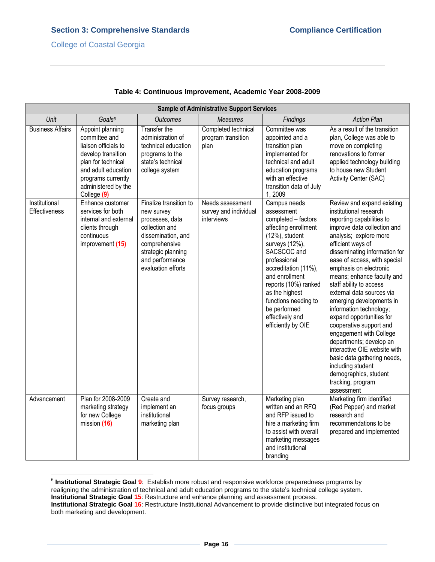| <b>Sample of Administrative Support Services</b> |                                                                                                                                                                                          |                                                                                                                                                                                 |                                                         |                                                                                                                                                                                                                                                                                                                      |                                                                                                                                                                                                                                                                                                                                                                                                                                                                                                                                                                                                                                                                      |
|--------------------------------------------------|------------------------------------------------------------------------------------------------------------------------------------------------------------------------------------------|---------------------------------------------------------------------------------------------------------------------------------------------------------------------------------|---------------------------------------------------------|----------------------------------------------------------------------------------------------------------------------------------------------------------------------------------------------------------------------------------------------------------------------------------------------------------------------|----------------------------------------------------------------------------------------------------------------------------------------------------------------------------------------------------------------------------------------------------------------------------------------------------------------------------------------------------------------------------------------------------------------------------------------------------------------------------------------------------------------------------------------------------------------------------------------------------------------------------------------------------------------------|
| Unit                                             | Goals <sup>6</sup>                                                                                                                                                                       | <b>Outcomes</b>                                                                                                                                                                 | <b>Measures</b>                                         | Findings                                                                                                                                                                                                                                                                                                             | <b>Action Plan</b>                                                                                                                                                                                                                                                                                                                                                                                                                                                                                                                                                                                                                                                   |
| <b>Business Affairs</b>                          | Appoint planning<br>committee and<br>liaison officials to<br>develop transition<br>plan for technical<br>and adult education<br>programs currently<br>administered by the<br>College (9) | Transfer the<br>administration of<br>technical education<br>programs to the<br>state's technical<br>college system                                                              | Completed technical<br>program transition<br>plan       | Committee was<br>appointed and a<br>transition plan<br>implemented for<br>technical and adult<br>education programs<br>with an effective<br>transition data of July<br>1,2009                                                                                                                                        | As a result of the transition<br>plan, College was able to<br>move on completing<br>renovations to former<br>applied technology building<br>to house new Student<br>Activity Center (SAC)                                                                                                                                                                                                                                                                                                                                                                                                                                                                            |
| Institutional<br>Effectiveness                   | Enhance customer<br>services for both<br>internal and external<br>clients through<br>continuous<br>improvement (15)                                                                      | Finalize transition to<br>new survey<br>processes, data<br>collection and<br>dissemination, and<br>comprehensive<br>strategic planning<br>and performance<br>evaluation efforts | Needs assessment<br>survey and individual<br>interviews | Campus needs<br>assessment<br>completed - factors<br>affecting enrollment<br>$(12%)$ , student<br>surveys (12%),<br>SACSCOC and<br>professional<br>accreditation (11%),<br>and enrollment<br>reports (10%) ranked<br>as the highest<br>functions needing to<br>be performed<br>effectively and<br>efficiently by OIE | Review and expand existing<br>institutional research<br>reporting capabilities to<br>improve data collection and<br>analysis; explore more<br>efficient ways of<br>disseminating information for<br>ease of access, with special<br>emphasis on electronic<br>means; enhance faculty and<br>staff ability to access<br>external data sources via<br>emerging developments in<br>information technology;<br>expand opportunities for<br>cooperative support and<br>engagement with College<br>departments; develop an<br>interactive OIE website with<br>basic data gathering needs,<br>including student<br>demographics, student<br>tracking, program<br>assessment |
| Advancement                                      | Plan for 2008-2009<br>marketing strategy<br>for new College<br>mission (16)                                                                                                              | Create and<br>implement an<br>institutional<br>marketing plan                                                                                                                   | Survey research,<br>focus groups                        | Marketing plan<br>written and an RFQ<br>and RFP issued to<br>hire a marketing firm<br>to assist with overall<br>marketing messages<br>and institutional<br>branding                                                                                                                                                  | Marketing firm identified<br>(Red Pepper) and market<br>research and<br>recommendations to be<br>prepared and implemented                                                                                                                                                                                                                                                                                                                                                                                                                                                                                                                                            |

#### **Table 4: Continuous Improvement, Academic Year 2008-2009**

 6 **Institutional Strategic Goal 9**: Establish more robust and responsive workforce preparedness programs by realigning the administration of technical and adult education programs to the state's technical college system. **Institutional Strategic Goal 15**: Restructure and enhance planning and assessment process. **Institutional Strategic Goal 16**: Restructure Institutional Advancement to provide distinctive but integrated focus on both marketing and development.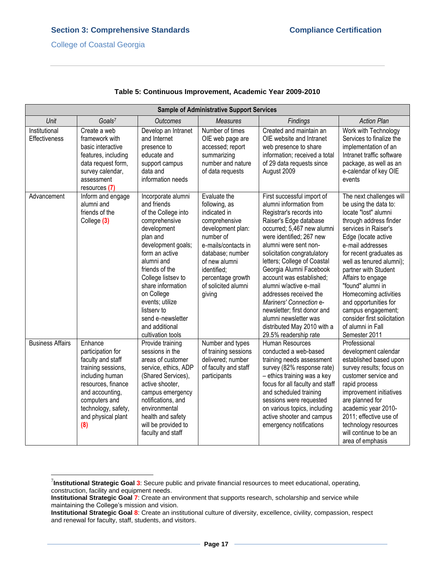$\overline{\phantom{a}}$ 

| <b>Sample of Administrative Support Services</b> |                                                                                                                                                                                                          |                                                                                                                                                                                                                                                                                                                                     |                                                                                                                                                                                                                                   |                                                                                                                                                                                                                                                                                                                                                                                                                                                                                                                    |                                                                                                                                                                                                                                                                                                                                                                                                                                              |
|--------------------------------------------------|----------------------------------------------------------------------------------------------------------------------------------------------------------------------------------------------------------|-------------------------------------------------------------------------------------------------------------------------------------------------------------------------------------------------------------------------------------------------------------------------------------------------------------------------------------|-----------------------------------------------------------------------------------------------------------------------------------------------------------------------------------------------------------------------------------|--------------------------------------------------------------------------------------------------------------------------------------------------------------------------------------------------------------------------------------------------------------------------------------------------------------------------------------------------------------------------------------------------------------------------------------------------------------------------------------------------------------------|----------------------------------------------------------------------------------------------------------------------------------------------------------------------------------------------------------------------------------------------------------------------------------------------------------------------------------------------------------------------------------------------------------------------------------------------|
| Unit                                             | Goals <sup>7</sup>                                                                                                                                                                                       | <b>Outcomes</b>                                                                                                                                                                                                                                                                                                                     | <b>Measures</b>                                                                                                                                                                                                                   | Findings                                                                                                                                                                                                                                                                                                                                                                                                                                                                                                           | <b>Action Plan</b>                                                                                                                                                                                                                                                                                                                                                                                                                           |
| Institutional<br><b>Effectiveness</b>            | Create a web<br>framework with<br>basic interactive<br>features, including<br>data request form,<br>survey calendar,<br>assessment<br>resources (7)                                                      | Develop an Intranet<br>and Internet<br>presence to<br>educate and<br>support campus<br>data and<br>information needs                                                                                                                                                                                                                | Number of times<br>OIE web page are<br>accessed; report<br>summarizing<br>number and nature<br>of data requests                                                                                                                   | Created and maintain an<br>OIE website and Intranet<br>web presence to share<br>information; received a total<br>of 29 data requests since<br>August 2009                                                                                                                                                                                                                                                                                                                                                          | Work with Technology<br>Services to finalize the<br>implementation of an<br>Intranet traffic software<br>package, as well as an<br>e-calendar of key OIE<br>events                                                                                                                                                                                                                                                                           |
| Advancement                                      | Inform and engage<br>alumni and<br>friends of the<br>College (3)                                                                                                                                         | Incorporate alumni<br>and friends<br>of the College into<br>comprehensive<br>development<br>plan and<br>development goals;<br>form an active<br>alumni and<br>friends of the<br>College listsev to<br>share information<br>on College<br>events; utilize<br>listserv to<br>send e-newsletter<br>and additional<br>cultivation tools | Evaluate the<br>following, as<br>indicated in<br>comprehensive<br>development plan:<br>number of<br>e-mails/contacts in<br>database; number<br>of new alumni<br>identified:<br>percentage growth<br>of solicited alumni<br>giving | First successful import of<br>alumni information from<br>Registrar's records into<br>Raiser's Edge database<br>occurred; 5,467 new alumni<br>were identified; 267 new<br>alumni were sent non-<br>solicitation congratulatory<br>letters; College of Coastal<br>Georgia Alumni Facebook<br>account was established;<br>alumni w/active e-mail<br>addresses received the<br>Mariners' Connection e-<br>newsletter; first donor and<br>alumni newsletter was<br>distributed May 2010 with a<br>29.5% readership rate | The next challenges will<br>be using the data to:<br>locate "lost" alumni<br>through address finder<br>services in Raiser's<br>Edge (locate active<br>e-mail addresses<br>for recent graduates as<br>well as tenured alumni);<br>partner with Student<br>Affairs to engage<br>"found" alumni in<br>Homecoming activities<br>and opportunities for<br>campus engagement;<br>consider first solicitation<br>of alumni in Fall<br>Semester 2011 |
| <b>Business Affairs</b>                          | Enhance<br>participation for<br>faculty and staff<br>training sessions,<br>including human<br>resources, finance<br>and accounting,<br>computers and<br>technology, safety,<br>and physical plant<br>(8) | Provide training<br>sessions in the<br>areas of customer<br>service, ethics, ADP<br>(Shared Services),<br>active shooter,<br>campus emergency<br>notifications, and<br>environmental<br>health and safety<br>will be provided to<br>faculty and staff                                                                               | Number and types<br>of training sessions<br>delivered; number<br>of faculty and staff<br>participants                                                                                                                             | Human Resources<br>conducted a web-based<br>training needs assessment<br>survey (82% response rate)<br>- ethics training was a key<br>focus for all faculty and staff<br>and scheduled training<br>sessions were requested<br>on various topics, including<br>active shooter and campus<br>emergency notifications                                                                                                                                                                                                 | Professional<br>development calendar<br>established based upon<br>survey results; focus on<br>customer service and<br>rapid process<br>improvement initiatives<br>are planned for<br>academic year 2010-<br>2011; effective use of<br>technology resources<br>will continue to be an<br>area of emphasis                                                                                                                                     |

## **Table 5: Continuous Improvement, Academic Year 2009-2010**

<sup>7</sup> **Institutional Strategic Goal 3**: Secure public and private financial resources to meet educational, operating, construction, facility and equipment needs.

**Institutional Strategic Goal 7**: Create an environment that supports research, scholarship and service while maintaining the College's mission and vision.

**Institutional Strategic Goal 8**: Create an institutional culture of diversity, excellence, civility, compassion, respect and renewal for faculty, staff, students, and visitors.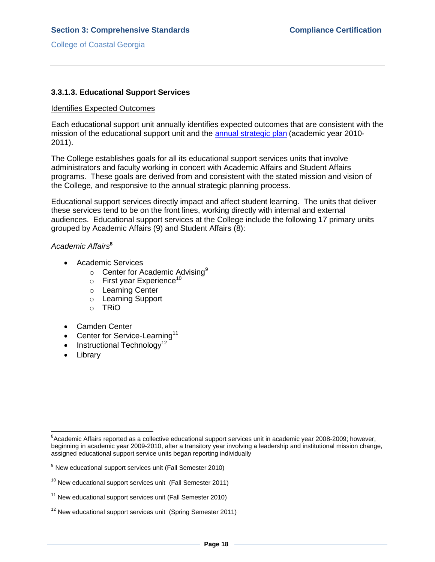# **3.3.1.3. Educational Support Services**

### Identifies Expected Outcomes

Each educational support unit annually identifies expected outcomes that are consistent with the mission of the educational support unit and the [annual strategic plan](3.11.2.bCCGA10-11AnnualStrategicPlan.pdf#page=1) (academic year 2010- 2011).

The College establishes goals for all its educational support services units that involve administrators and faculty working in concert with Academic Affairs and Student Affairs programs. These goals are derived from and consistent with the stated mission and vision of the College, and responsive to the annual strategic planning process.

Educational support services directly impact and affect student learning. The units that deliver these services tend to be on the front lines, working directly with internal and external audiences. Educational support services at the College include the following 17 primary units grouped by Academic Affairs (9) and Student Affairs (8):

## *Academic Affairs***<sup>8</sup>**

- Academic Services
	- $\circ$  Center for Academic Advising<sup>9</sup>
	- $\circ$  First year Experience<sup>10</sup>
	- o Learning Center
	- o Learning Support
	- o TRiO
- Camden Center
- Center for Service-Learning<sup>11</sup>
- $\bullet$  Instructional Technology<sup>12</sup>
- Library

 $\overline{a}$ 

<sup>&</sup>lt;sup>8</sup>Academic Affairs reported as a collective educational support services unit in academic year 2008-2009; however, beginning in academic year 2009-2010, after a transitory year involving a leadership and institutional mission change, assigned educational support service units began reporting individually

 $9$  New educational support services unit (Fall Semester 2010)

 $10$  New educational support services unit (Fall Semester 2011)

 $11$  New educational support services unit (Fall Semester 2010)

 $12$  New educational support services unit (Spring Semester 2011)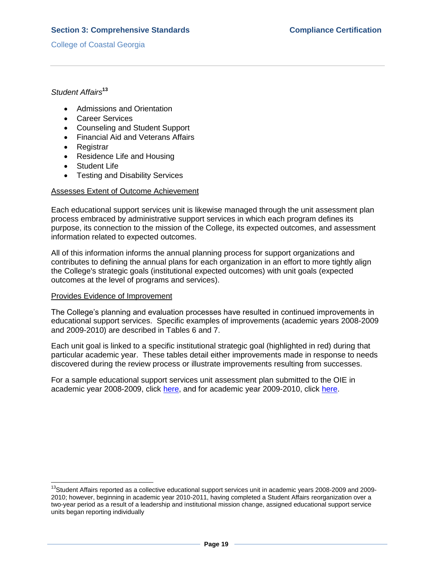# *Student Affairs***<sup>13</sup>**

- Admissions and Orientation
- Career Services
- Counseling and Student Support
- Financial Aid and Veterans Affairs
- Registrar
- Residence Life and Housing
- Student Life
- Testing and Disability Services

#### Assesses Extent of Outcome Achievement

Each educational support services unit is likewise managed through the unit assessment plan process embraced by administrative support services in which each program defines its purpose, its connection to the mission of the College, its expected outcomes, and assessment information related to expected outcomes.

All of this information informs the annual planning process for support organizations and contributes to defining the annual plans for each organization in an effort to more tightly align the College's strategic goals (institutional expected outcomes) with unit goals (expected outcomes at the level of programs and services).

#### Provides Evidence of Improvement

 $\overline{a}$ 

The College's planning and evaluation processes have resulted in continued improvements in educational support services. Specific examples of improvements (academic years 2008-2009 and 2009-2010) are described in Tables 6 and 7.

Each unit goal is linked to a specific institutional strategic goal (highlighted in red) during that particular academic year. These tables detail either improvements made in response to needs discovered during the review process or illustrate improvements resulting from successes.

For a sample educational support services unit assessment plan submitted to the OIE in academic year 2008-2009, click [here,](3.3.1.sb0809UnitAssessmentPlanEx.pdf#page=1) and for academic year 2009-2010, click [here.](3.3.1.sb0910UnitAssessmentPlanEx.pdf#page=1)

<sup>&</sup>lt;sup>13</sup>Student Affairs reported as a collective educational support services unit in academic years 2008-2009 and 2009-2010; however, beginning in academic year 2010-2011, having completed a Student Affairs reorganization over a two-year period as a result of a leadership and institutional mission change, assigned educational support service units began reporting individually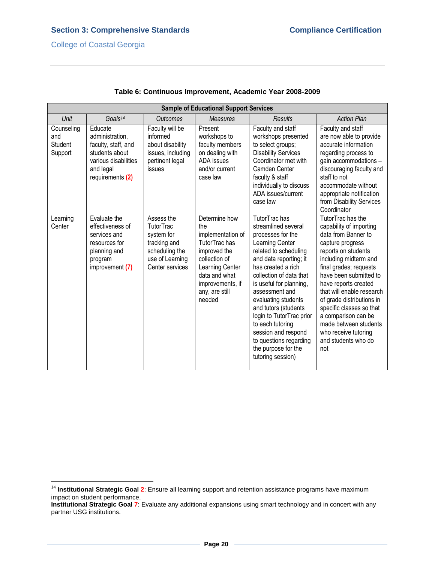l

| <b>Sample of Educational Support Services</b> |                                                                                                                              |                                                                                                               |                                                                                                                                                                                 |                                                                                                                                                                                                                                                                                                                                                                                                                          |                                                                                                                                                                                                                                                                                                                                                                                                                 |
|-----------------------------------------------|------------------------------------------------------------------------------------------------------------------------------|---------------------------------------------------------------------------------------------------------------|---------------------------------------------------------------------------------------------------------------------------------------------------------------------------------|--------------------------------------------------------------------------------------------------------------------------------------------------------------------------------------------------------------------------------------------------------------------------------------------------------------------------------------------------------------------------------------------------------------------------|-----------------------------------------------------------------------------------------------------------------------------------------------------------------------------------------------------------------------------------------------------------------------------------------------------------------------------------------------------------------------------------------------------------------|
| Unit                                          | $G$ oals <sup>14</sup>                                                                                                       | <b>Outcomes</b>                                                                                               | <b>Measures</b>                                                                                                                                                                 | <b>Results</b>                                                                                                                                                                                                                                                                                                                                                                                                           | <b>Action Plan</b>                                                                                                                                                                                                                                                                                                                                                                                              |
| Counseling<br>and<br>Student<br>Support       | Educate<br>administration,<br>faculty, staff, and<br>students about<br>various disabilities<br>and legal<br>requirements (2) | Faculty will be<br>informed<br>about disability<br>issues, including<br>pertinent legal<br>issues             | Present<br>workshops to<br>faculty members<br>on dealing with<br>ADA issues<br>and/or current<br>case law                                                                       | Faculty and staff<br>workshops presented<br>to select groups;<br><b>Disability Services</b><br>Coordinator met with<br>Camden Center<br>faculty & staff<br>individually to discuss<br>ADA issues/current<br>case law                                                                                                                                                                                                     | Faculty and staff<br>are now able to provide<br>accurate information<br>regarding process to<br>gain accommodations -<br>discouraging faculty and<br>staff to not<br>accommodate without<br>appropriate notification<br>from Disability Services<br>Coordinator                                                                                                                                                 |
| Learning<br>Center                            | Evaluate the<br>effectiveness of<br>services and<br>resources for<br>planning and<br>program<br>improvement (7)              | Assess the<br>TutorTrac<br>system for<br>tracking and<br>scheduling the<br>use of Learning<br>Center services | Determine how<br>the<br>implementation of<br>TutorTrac has<br>improved the<br>collection of<br>Learning Center<br>data and what<br>improvements, if<br>any, are still<br>needed | TutorTrachas<br>streamlined several<br>processes for the<br>Learning Center<br>related to scheduling<br>and data reporting; it<br>has created a rich<br>collection of data that<br>is useful for planning,<br>assessment and<br>evaluating students<br>and tutors (students<br>login to TutorTrac prior<br>to each tutoring<br>session and respond<br>to questions regarding<br>the purpose for the<br>tutoring session) | TutorTrac has the<br>capability of importing<br>data from Banner to<br>capture progress<br>reports on students<br>including midterm and<br>final grades; requests<br>have been submitted to<br>have reports created<br>that will enable research<br>of grade distributions in<br>specific classes so that<br>a comparison can be<br>made between students<br>who receive tutoring<br>and students who do<br>not |

## **Table 6: Continuous Improvement, Academic Year 2008-2009**

<sup>&</sup>lt;sup>14</sup> Institutional Strategic Goal 2: Ensure all learning support and retention assistance programs have maximum impact on student performance.

**Institutional Strategic Goal 7**: Evaluate any additional expansions using smart technology and in concert with any partner USG institutions.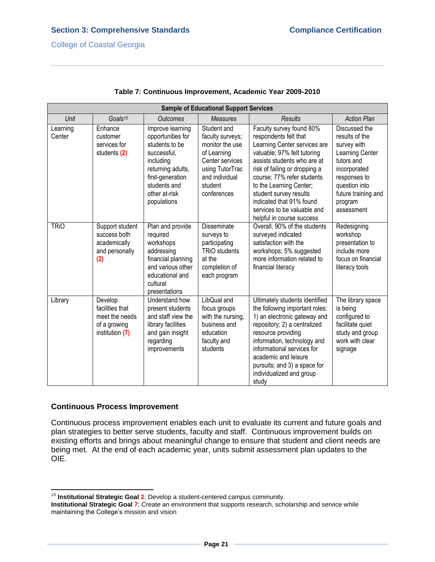| <b>Sample of Educational Support Services</b> |                                                                                 |                                                                                                                                                                              |                                                                                                                                                     |                                                                                                                                                                                                                                                                                                                                                             |                                                                                                                                                                                  |
|-----------------------------------------------|---------------------------------------------------------------------------------|------------------------------------------------------------------------------------------------------------------------------------------------------------------------------|-----------------------------------------------------------------------------------------------------------------------------------------------------|-------------------------------------------------------------------------------------------------------------------------------------------------------------------------------------------------------------------------------------------------------------------------------------------------------------------------------------------------------------|----------------------------------------------------------------------------------------------------------------------------------------------------------------------------------|
| Unit                                          | Goals <sup>15</sup>                                                             | <b>Outcomes</b>                                                                                                                                                              | <b>Measures</b>                                                                                                                                     | <b>Results</b>                                                                                                                                                                                                                                                                                                                                              | <b>Action Plan</b>                                                                                                                                                               |
| Learning<br>Center                            | Enhance<br>customer<br>services for<br>students (2)                             | Improve learning<br>opportunities for<br>students to be<br>successful,<br>including<br>returning adults,<br>first-generation<br>students and<br>other at-risk<br>populations | Student and<br>faculty surveys;<br>monitor the use<br>of Learning<br>Center services<br>using TutorTrac<br>and individual<br>student<br>conferences | Faculty survey found 80%<br>respondents felt that<br>Learning Center services are<br>valuable; 97% felt tutoring<br>assists students who are at<br>risk of failing or dropping a<br>course; 77% refer students<br>to the Learning Center;<br>student survey results<br>indicated that 91% found<br>services to be valuable and<br>helpful in course success | Discussed the<br>results of the<br>survey with<br>Learning Center<br>tutors and<br>incorporated<br>responses to<br>question into<br>future training and<br>program<br>assessment |
| <b>TRIO</b>                                   | Support student<br>success both<br>academically<br>and personally<br>(2)        | Plan and provide<br>required<br>workshops<br>addressing<br>financial planning<br>and various other<br>educational and<br>cultural<br>presentations                           | <b>Disseminate</b><br>surveys to<br>participating<br><b>TRiO</b> students<br>at the<br>completion of<br>each program                                | Overall, 90% of the students<br>surveyed indicated<br>satisfaction with the<br>workshops; 5% suggested<br>more information related to<br>financial literacy                                                                                                                                                                                                 | Redesigning<br>workshop<br>presentation to<br>include more<br>focus on financial<br>literacy tools                                                                               |
| Library                                       | Develop<br>facilities that<br>meet the needs<br>of a growing<br>institution (7) | Understand how<br>present students<br>and staff view the<br>library facilities<br>and gain insight<br>regarding<br>improvements                                              | LibQual and<br>focus groups<br>with the nursing,<br>business and<br>education<br>faculty and<br>students                                            | Ultimately students identified<br>the following important roles:<br>1) an electronic gateway and<br>repository; 2) a centralized<br>resource providing<br>information, technology and<br>informational services for<br>academic and leisure<br>pursuits; and 3) a space for<br>individualized and group<br>study                                            | The library space<br>is being<br>configured to<br>facilitate quiet<br>study and group<br>work with clear<br>signage                                                              |

## **Table 7: Continuous Improvement, Academic Year 2009-2010**

## **Continuous Process Improvement**

Continuous process improvement enables each unit to evaluate its current and future goals and plan strategies to better serve students, faculty and staff. Continuous improvement builds on existing efforts and brings about meaningful change to ensure that student and client needs are being met. At the end of each academic year, units submit assessment plan updates to the OIE.

 $\overline{\phantom{a}}$ <sup>15</sup> Institutional Strategic Goal 2: Develop a student-centered campus community.

**Institutional Strategic Goal 7**: Create an environment that supports research, scholarship and service while maintaining the College's mission and vision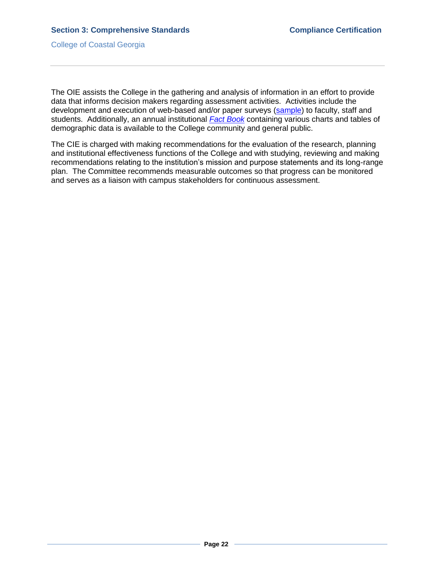The OIE assists the College in the gathering and analysis of information in an effort to provide data that informs decision makers regarding assessment activities. Activities include the development and execution of web-based and/or paper surveys [\(sample\)](3.3.1.sIRNeedsAssessmentSurvey.pdf#page=1) to faculty, staff and students. Additionally, an annual institutional *[Fact Book](CCGAFactBook.pdf#page=1)* containing various charts and tables of demographic data is available to the College community and general public.

The CIE is charged with making recommendations for the evaluation of the research, planning and institutional effectiveness functions of the College and with studying, reviewing and making recommendations relating to the institution's mission and purpose statements and its long-range plan. The Committee recommends measurable outcomes so that progress can be monitored and serves as a liaison with campus stakeholders for continuous assessment.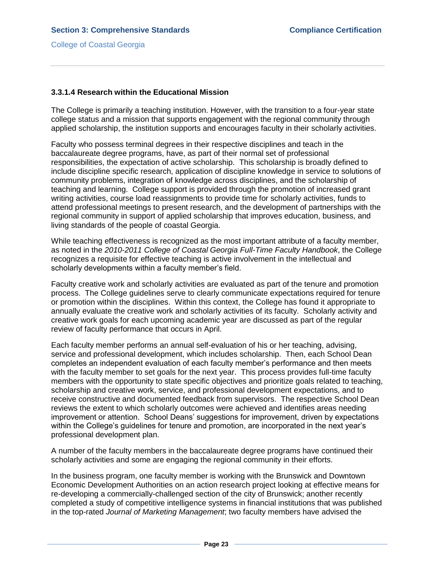## **3.3.1.4 Research within the Educational Mission**

The College is primarily a teaching institution. However, with the transition to a four-year state college status and a mission that supports engagement with the regional community through applied scholarship, the institution supports and encourages faculty in their scholarly activities.

Faculty who possess terminal degrees in their respective disciplines and teach in the baccalaureate degree programs, have, as part of their normal set of professional responsibilities, the expectation of active scholarship. This scholarship is broadly defined to include discipline specific research, application of discipline knowledge in service to solutions of community problems, integration of knowledge across disciplines, and the scholarship of teaching and learning. College support is provided through the promotion of increased grant writing activities, course load reassignments to provide time for scholarly activities, funds to attend professional meetings to present research, and the development of partnerships with the regional community in support of applied scholarship that improves education, business, and living standards of the people of coastal Georgia.

While teaching effectiveness is recognized as the most important attribute of a faculty member, as noted in the *2010-2011 College of Coastal Georgia Full-Time Faculty Handbook*, the College recognizes a requisite for effective teaching is active involvement in the intellectual and scholarly developments within a faculty member's field.

Faculty creative work and scholarly activities are evaluated as part of the tenure and promotion process. The College guidelines serve to clearly communicate expectations required for tenure or promotion within the disciplines. Within this context, the College has found it appropriate to annually evaluate the creative work and scholarly activities of its faculty. Scholarly activity and creative work goals for each upcoming academic year are discussed as part of the regular review of faculty performance that occurs in April.

Each faculty member performs an annual self-evaluation of his or her teaching, advising, service and professional development, which includes scholarship. Then, each School Dean completes an independent evaluation of each faculty member's performance and then meets with the faculty member to set goals for the next year. This process provides full-time faculty members with the opportunity to state specific objectives and prioritize goals related to teaching, scholarship and creative work, service, and professional development expectations, and to receive constructive and documented feedback from supervisors. The respective School Dean reviews the extent to which scholarly outcomes were achieved and identifies areas needing improvement or attention. School Deans' suggestions for improvement, driven by expectations within the College's guidelines for tenure and promotion, are incorporated in the next year's professional development plan.

A number of the faculty members in the baccalaureate degree programs have continued their scholarly activities and some are engaging the regional community in their efforts.

In the business program, one faculty member is working with the Brunswick and Downtown Economic Development Authorities on an action research project looking at effective means for re-developing a commercially-challenged section of the city of Brunswick; another recently completed a study of competitive intelligence systems in financial institutions that was published in the top-rated *Journal of Marketing Management*; two faculty members have advised the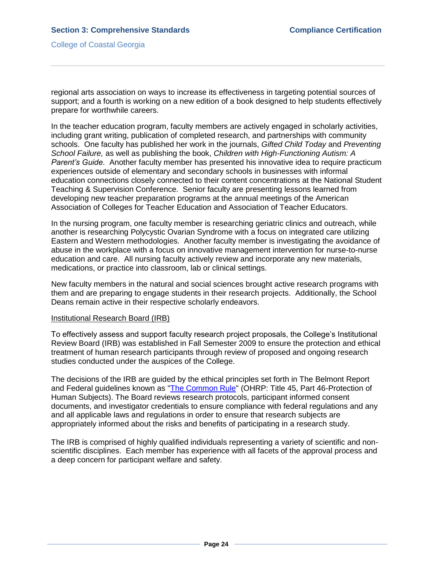regional arts association on ways to increase its effectiveness in targeting potential sources of support; and a fourth is working on a new edition of a book designed to help students effectively prepare for worthwhile careers.

In the teacher education program, faculty members are actively engaged in scholarly activities, including grant writing, publication of completed research, and partnerships with community schools. One faculty has published her work in the journals, *Gifted Child Today* and *Preventing School Failure,* as well as publishing the book, *Children with High-Functioning Autism: A Parent's Guide*. Another faculty member has presented his innovative idea to require practicum experiences outside of elementary and secondary schools in businesses with informal education connections closely connected to their content concentrations at the National Student Teaching & Supervision Conference. Senior faculty are presenting lessons learned from developing new teacher preparation programs at the annual meetings of the American Association of Colleges for Teacher Education and Association of Teacher Educators.

In the nursing program, one faculty member is researching geriatric clinics and outreach, while another is researching Polycystic Ovarian Syndrome with a focus on integrated care utilizing Eastern and Western methodologies. Another faculty member is investigating the avoidance of abuse in the workplace with a focus on innovative management intervention for nurse-to-nurse education and care. All nursing faculty actively review and incorporate any new materials, medications, or practice into classroom, lab or clinical settings.

New faculty members in the natural and social sciences brought active research programs with them and are preparing to engage students in their research projects. Additionally, the School Deans remain active in their respective scholarly endeavors.

#### Institutional Research Board (IRB)

To effectively assess and support faculty research project proposals, the College's Institutional Review Board (IRB) was established in Fall Semester 2009 to ensure the protection and ethical treatment of human research participants through review of proposed and ongoing research studies conducted under the auspices of the College.

The decisions of the IRB are guided by the ethical principles set forth in The Belmont Report and Federal guidelines known as ["The Common Rule"](3.3.1.uOHRPregulations.pdf#page=1) (OHRP: Title 45, Part 46-Protection of Human Subjects). The Board reviews research protocols, participant informed consent documents, and investigator credentials to ensure compliance with federal regulations and any and all applicable laws and regulations in order to ensure that research subjects are appropriately informed about the risks and benefits of participating in a research study.

The IRB is comprised of highly qualified individuals representing a variety of scientific and nonscientific disciplines. Each member has experience with all facets of the approval process and a deep concern for participant welfare and safety.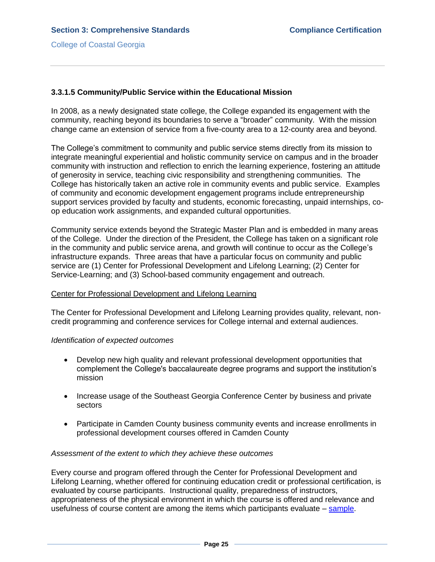## **3.3.1.5 Community/Public Service within the Educational Mission**

In 2008, as a newly designated state college, the College expanded its engagement with the community, reaching beyond its boundaries to serve a "broader" community. With the mission change came an extension of service from a five-county area to a 12-county area and beyond.

The College's commitment to community and public service stems directly from its mission to integrate meaningful experiential and holistic community service on campus and in the broader community with instruction and reflection to enrich the learning experience, fostering an attitude of generosity in service, teaching civic responsibility and strengthening communities. The College has historically taken an active role in community events and public service. Examples of community and economic development engagement programs include entrepreneurship support services provided by faculty and students, economic forecasting, unpaid internships, coop education work assignments, and expanded cultural opportunities.

Community service extends beyond the Strategic Master Plan and is embedded in many areas of the College. Under the direction of the President, the College has taken on a significant role in the community and public service arena, and growth will continue to occur as the College's infrastructure expands. Three areas that have a particular focus on community and public service are (1) Center for Professional Development and Lifelong Learning; (2) Center for Service-Learning; and (3) School-based community engagement and outreach.

#### Center for Professional Development and Lifelong Learning

The Center for Professional Development and Lifelong Learning provides quality, relevant, noncredit programming and conference services for College internal and external audiences.

#### *Identification of expected outcomes*

- Develop new high quality and relevant professional development opportunities that complement the College's baccalaureate degree programs and support the institution's mission
- Increase usage of the Southeast Georgia Conference Center by business and private sectors
- Participate in Camden County business community events and increase enrollments in professional development courses offered in Camden County

#### *Assessment of the extent to which they achieve these outcomes*

Every course and program offered through the Center for Professional Development and Lifelong Learning, whether offered for continuing education credit or professional certification, is evaluated by course participants. Instructional quality, preparedness of instructors, appropriateness of the physical environment in which the course is offered and relevance and usefulness of course content are among the items which participants evaluate – [sample.](3.3.1.zProgramEvalSummary.pdf#page=1)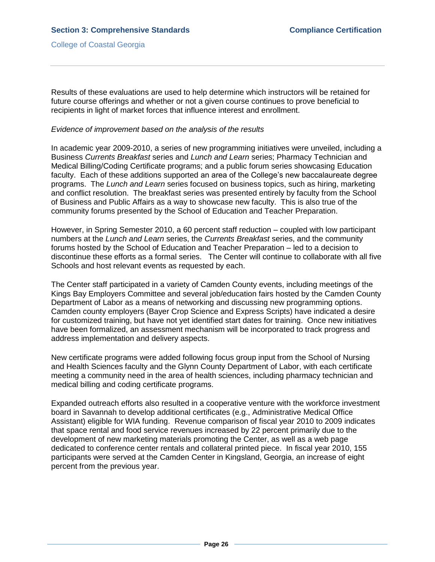Results of these evaluations are used to help determine which instructors will be retained for future course offerings and whether or not a given course continues to prove beneficial to recipients in light of market forces that influence interest and enrollment.

#### *Evidence of improvement based on the analysis of the results*

In academic year 2009-2010, a series of new programming initiatives were unveiled, including a Business *Currents Breakfast* series and *Lunch and Learn* series; Pharmacy Technician and Medical Billing/Coding Certificate programs; and a public forum series showcasing Education faculty. Each of these additions supported an area of the College's new baccalaureate degree programs. The *Lunch and Learn* series focused on business topics, such as hiring, marketing and conflict resolution. The breakfast series was presented entirely by faculty from the School of Business and Public Affairs as a way to showcase new faculty. This is also true of the community forums presented by the School of Education and Teacher Preparation.

However, in Spring Semester 2010, a 60 percent staff reduction – coupled with low participant numbers at the *Lunch and Learn* series, the *Currents Breakfast* series, and the community forums hosted by the School of Education and Teacher Preparation – led to a decision to discontinue these efforts as a formal series. The Center will continue to collaborate with all five Schools and host relevant events as requested by each.

The Center staff participated in a variety of Camden County events, including meetings of the Kings Bay Employers Committee and several job/education fairs hosted by the Camden County Department of Labor as a means of networking and discussing new programming options. Camden county employers (Bayer Crop Science and Express Scripts) have indicated a desire for customized training, but have not yet identified start dates for training. Once new initiatives have been formalized, an assessment mechanism will be incorporated to track progress and address implementation and delivery aspects.

New certificate programs were added following focus group input from the School of Nursing and Health Sciences faculty and the Glynn County Department of Labor, with each certificate meeting a community need in the area of health sciences, including pharmacy technician and medical billing and coding certificate programs.

Expanded outreach efforts also resulted in a cooperative venture with the workforce investment board in Savannah to develop additional certificates (e.g., Administrative Medical Office Assistant) eligible for WIA funding. Revenue comparison of fiscal year 2010 to 2009 indicates that space rental and food service revenues increased by 22 percent primarily due to the development of new marketing materials promoting the Center, as well as a web page dedicated to conference center rentals and collateral printed piece. In fiscal year 2010, 155 participants were served at the Camden Center in Kingsland, Georgia, an increase of eight percent from the previous year.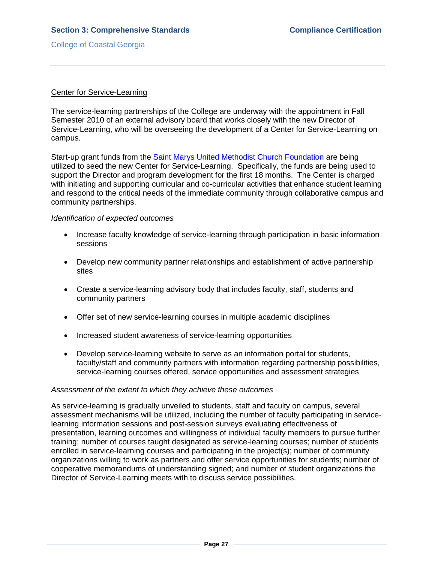### Center for Service-Learning

The service-learning partnerships of the College are underway with the appointment in Fall Semester 2010 of an external advisory board that works closely with the new Director of Service-Learning, who will be overseeing the development of a Center for Service-Learning on campus.

Start-up grant funds from the [Saint Marys United Methodist Church Foundation](3.3.1.vSMUMCFgrant.pdf#page=1) are being utilized to seed the new Center for Service-Learning. Specifically, the funds are being used to support the Director and program development for the first 18 months. The Center is charged with initiating and supporting curricular and co-curricular activities that enhance student learning and respond to the critical needs of the immediate community through collaborative campus and community partnerships.

#### *Identification of expected outcomes*

- Increase faculty knowledge of service-learning through participation in basic information sessions
- Develop new community partner relationships and establishment of active partnership sites
- Create a service-learning advisory body that includes faculty, staff, students and community partners
- Offer set of new service-learning courses in multiple academic disciplines
- Increased student awareness of service-learning opportunities
- Develop service-learning website to serve as an information portal for students, faculty/staff and community partners with information regarding partnership possibilities, service-learning courses offered, service opportunities and assessment strategies

## *Assessment of the extent to which they achieve these outcomes*

As service-learning is gradually unveiled to students, staff and faculty on campus, several assessment mechanisms will be utilized, including the number of faculty participating in servicelearning information sessions and post-session surveys evaluating effectiveness of presentation, learning outcomes and willingness of individual faculty members to pursue further training; number of courses taught designated as service-learning courses; number of students enrolled in service-learning courses and participating in the project(s); number of community organizations willing to work as partners and offer service opportunities for students; number of cooperative memorandums of understanding signed; and number of student organizations the Director of Service-Learning meets with to discuss service possibilities.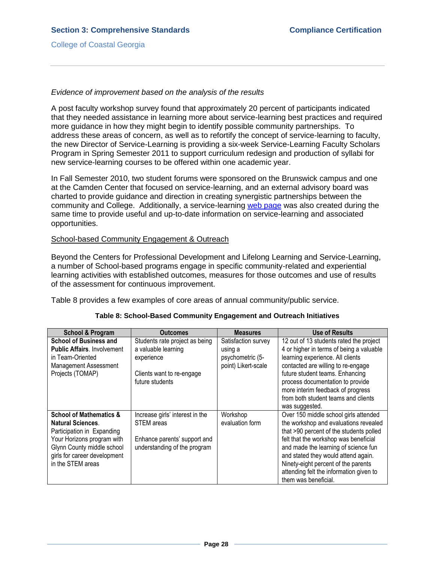### *Evidence of improvement based on the analysis of the results*

A post faculty workshop survey found that approximately 20 percent of participants indicated that they needed assistance in learning more about service-learning best practices and required more guidance in how they might begin to identify possible community partnerships. To address these areas of concern, as well as to refortify the concept of service-learning to faculty, the new Director of Service-Learning is providing a six-week Service-Learning Faculty Scholars Program in Spring Semester 2011 to support curriculum redesign and production of syllabi for new service-learning courses to be offered within one academic year.

In Fall Semester 2010, two student forums were sponsored on the Brunswick campus and one at the Camden Center that focused on service-learning, and an external advisory board was charted to provide guidance and direction in creating synergistic partnerships between the community and College. Additionally, a service-learning [web page](3.3.1.wServiceLearning.pdf#page=1) was also created during the same time to provide useful and up-to-date information on service-learning and associated opportunities.

#### School-based Community Engagement & Outreach

Beyond the Centers for Professional Development and Lifelong Learning and Service-Learning, a number of School-based programs engage in specific community-related and experiential learning activities with established outcomes, measures for those outcomes and use of results of the assessment for continuous improvement.

Table 8 provides a few examples of core areas of annual community/public service.

| School & Program                                                                                                                                                                                              | <b>Outcomes</b>                                                                                                      | <b>Measures</b>                                                           | <b>Use of Results</b>                                                                                                                                                                                                                                                                                                                                       |
|---------------------------------------------------------------------------------------------------------------------------------------------------------------------------------------------------------------|----------------------------------------------------------------------------------------------------------------------|---------------------------------------------------------------------------|-------------------------------------------------------------------------------------------------------------------------------------------------------------------------------------------------------------------------------------------------------------------------------------------------------------------------------------------------------------|
| <b>School of Business and</b><br><b>Public Affairs. Involvement</b><br>in Team-Oriented<br><b>Management Assessment</b><br>Projects (TOMAP)                                                                   | Students rate project as being<br>a valuable learning<br>experience<br>Clients want to re-engage<br>future students  | Satisfaction survey<br>using a<br>psychometric (5-<br>point) Likert-scale | 12 out of 13 students rated the project<br>4 or higher in terms of being a valuable<br>learning experience. All clients<br>contacted are willing to re-engage<br>future student teams. Enhancing<br>process documentation to provide<br>more interim feedback of progress<br>from both student teams and clients<br>was suggested.                          |
| <b>School of Mathematics &amp;</b><br><b>Natural Sciences.</b><br>Participation in Expanding<br>Your Horizons program with<br>Glynn County middle school<br>girls for career development<br>in the STEM areas | Increase girls' interest in the<br><b>STEM</b> areas<br>Enhance parents' support and<br>understanding of the program | Workshop<br>evaluation form                                               | Over 150 middle school girls attended<br>the workshop and evaluations revealed<br>that >90 percent of the students polled<br>felt that the workshop was beneficial<br>and made the learning of science fun<br>and stated they would attend again.<br>Ninety-eight percent of the parents<br>attending felt the information given to<br>them was beneficial. |

## **Table 8: School-Based Community Engagement and Outreach Initiatives**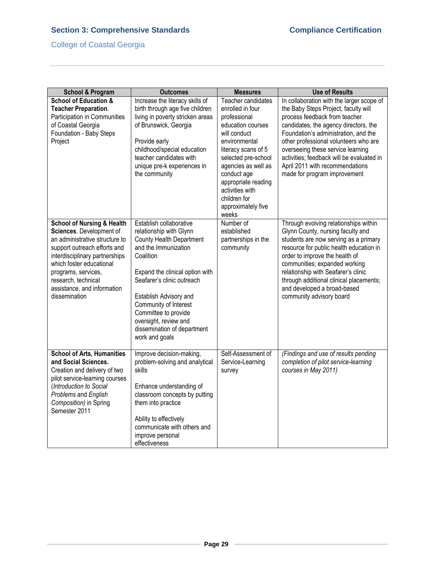# **Section 3: Comprehensive Standards Compliance Certification Compliance Certification**

# College of Coastal Georgia

| <b>School &amp; Program</b>                                                                                                                                                                                                                                                                     | <b>Outcomes</b>                                                                                                                                                                                                                                                                                                                                  | <b>Measures</b>                                                                                                                                                                                                                                                                           | <b>Use of Results</b>                                                                                                                                                                                                                                                                                                                                                                             |
|-------------------------------------------------------------------------------------------------------------------------------------------------------------------------------------------------------------------------------------------------------------------------------------------------|--------------------------------------------------------------------------------------------------------------------------------------------------------------------------------------------------------------------------------------------------------------------------------------------------------------------------------------------------|-------------------------------------------------------------------------------------------------------------------------------------------------------------------------------------------------------------------------------------------------------------------------------------------|---------------------------------------------------------------------------------------------------------------------------------------------------------------------------------------------------------------------------------------------------------------------------------------------------------------------------------------------------------------------------------------------------|
| <b>School of Education &amp;</b><br><b>Teacher Preparation.</b><br>Participation in Communities<br>of Coastal Georgia<br>Foundation - Baby Steps<br>Project                                                                                                                                     | Increase the literacy skills of<br>birth through age five children<br>living in poverty stricken areas<br>of Brunswick, Georgia<br>Provide early<br>childhood/special education<br>teacher candidates with<br>unique pre-k experiences in<br>the community                                                                                       | Teacher candidates<br>enrolled in four<br>professional<br>education courses<br>will conduct<br>environmental<br>literacy scans of 5<br>selected pre-school<br>agencies as well as<br>conduct age<br>appropriate reading<br>activities with<br>children for<br>approximately five<br>weeks | In collaboration with the larger scope of<br>the Baby Steps Project, faculty will<br>process feedback from teacher<br>candidates, the agency directors, the<br>Foundation's administration, and the<br>other professional volunteers who are<br>overseeing these service learning<br>activities; feedback will be evaluated in<br>April 2011 with recommendations<br>made for program improvement |
| <b>School of Nursing &amp; Health</b><br>Sciences. Development of<br>an administrative structure to<br>support outreach efforts and<br>interdisciplinary partnerships<br>which foster educational<br>programs, services,<br>research, technical<br>assistance, and information<br>dissemination | Establish collaborative<br>relationship with Glynn<br><b>County Health Department</b><br>and the Immunization<br>Coalition<br>Expand the clinical option with<br>Seafarer's clinic outreach<br>Establish Advisory and<br>Community of Interest<br>Committee to provide<br>oversight, review and<br>dissemination of department<br>work and goals | Number of<br>established<br>partnerships in the<br>community                                                                                                                                                                                                                              | Through evolving relationships within<br>Glynn County, nursing faculty and<br>students are now serving as a primary<br>resource for public health education in<br>order to improve the health of<br>communities; expanded working<br>relationship with Seafarer's clinic<br>through additional clinical placements;<br>and developed a broad-based<br>community advisory board                    |
| <b>School of Arts, Humanities</b><br>and Social Sciences.<br>Creation and delivery of two<br>pilot service-learning courses<br>(Introduction to Social<br>Problems and English<br>Composition) in Spring<br>Semester 2011                                                                       | Improve decision-making,<br>problem-solving and analytical<br>skills<br>Enhance understanding of<br>classroom concepts by putting<br>them into practice<br>Ability to effectively<br>communicate with others and<br>improve personal<br>effectiveness                                                                                            | Self-Assessment of<br>Service-Learning<br>survey                                                                                                                                                                                                                                          | (Findings and use of results pending<br>completion of pilot service-learning<br>courses in May 2011)                                                                                                                                                                                                                                                                                              |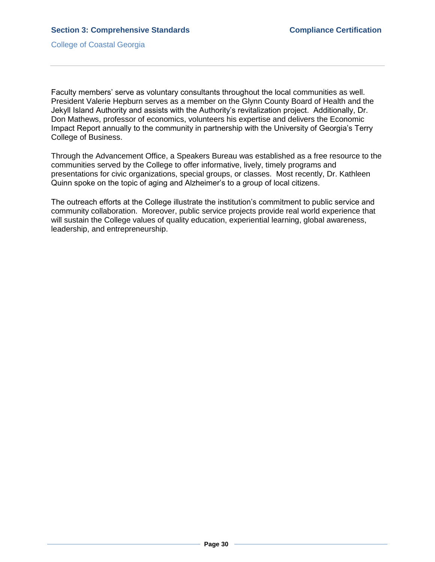Faculty members' serve as voluntary consultants throughout the local communities as well. President Valerie Hepburn serves as a member on the Glynn County Board of Health and the Jekyll Island Authority and assists with the Authority's revitalization project. Additionally, Dr. Don Mathews, professor of economics, volunteers his expertise and delivers the Economic Impact Report annually to the community in partnership with the University of Georgia's Terry College of Business.

Through the Advancement Office, a Speakers Bureau was established as a free resource to the communities served by the College to offer informative, lively, timely programs and presentations for civic organizations, special groups, or classes. Most recently, Dr. Kathleen Quinn spoke on the topic of aging and Alzheimer's to a group of local citizens.

The outreach efforts at the College illustrate the institution's commitment to public service and community collaboration. Moreover, public service projects provide real world experience that will sustain the College values of quality education, experiential learning, global awareness, leadership, and entrepreneurship.